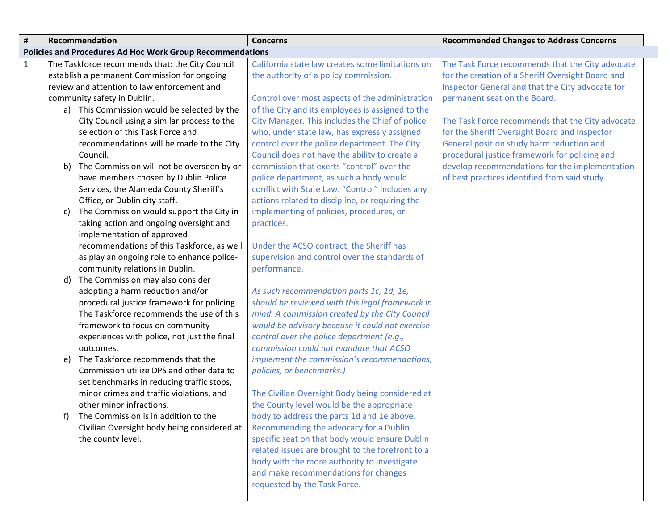| #            |                                                                  | Recommendation                                  | <b>Concerns</b>                                                                     | <b>Recommended Changes to Address Concerns</b>    |  |
|--------------|------------------------------------------------------------------|-------------------------------------------------|-------------------------------------------------------------------------------------|---------------------------------------------------|--|
|              | <b>Policies and Procedures Ad Hoc Work Group Recommendations</b> |                                                 |                                                                                     |                                                   |  |
| $\mathbf{1}$ |                                                                  | The Taskforce recommends that: the City Council | California state law creates some limitations on                                    | The Task Force recommends that the City advocate  |  |
|              |                                                                  | establish a permanent Commission for ongoing    | the authority of a policy commission.                                               | for the creation of a Sheriff Oversight Board and |  |
|              |                                                                  | review and attention to law enforcement and     |                                                                                     | Inspector General and that the City advocate for  |  |
|              |                                                                  | community safety in Dublin.                     | Control over most aspects of the administration                                     | permanent seat on the Board.                      |  |
|              |                                                                  | a) This Commission would be selected by the     | of the City and its employees is assigned to the                                    |                                                   |  |
|              |                                                                  | City Council using a similar process to the     | City Manager. This includes the Chief of police                                     | The Task Force recommends that the City advocate  |  |
|              |                                                                  | selection of this Task Force and                | who, under state law, has expressly assigned                                        | for the Sheriff Oversight Board and Inspector     |  |
|              |                                                                  | recommendations will be made to the City        | control over the police department. The City                                        | General position study harm reduction and         |  |
|              |                                                                  | Council.                                        | Council does not have the ability to create a                                       | procedural justice framework for policing and     |  |
|              | b)                                                               | The Commission will not be overseen by or       | commission that exerts "control" over the                                           | develop recommendations for the implementation    |  |
|              |                                                                  | have members chosen by Dublin Police            | police department, as such a body would                                             | of best practices identified from said study.     |  |
|              |                                                                  | Services, the Alameda County Sheriff's          | conflict with State Law. "Control" includes any                                     |                                                   |  |
|              |                                                                  | Office, or Dublin city staff.                   | actions related to discipline, or requiring the                                     |                                                   |  |
|              | C)                                                               | The Commission would support the City in        | implementing of policies, procedures, or                                            |                                                   |  |
|              |                                                                  | taking action and ongoing oversight and         | practices.                                                                          |                                                   |  |
|              |                                                                  | implementation of approved                      |                                                                                     |                                                   |  |
|              |                                                                  | recommendations of this Taskforce, as well      | Under the ACSO contract, the Sheriff has                                            |                                                   |  |
|              |                                                                  | as play an ongoing role to enhance police-      | supervision and control over the standards of                                       |                                                   |  |
|              |                                                                  | community relations in Dublin.                  | performance.                                                                        |                                                   |  |
|              | d)                                                               | The Commission may also consider                |                                                                                     |                                                   |  |
|              |                                                                  | adopting a harm reduction and/or                | As such recommendation parts 1c, 1d, 1e,                                            |                                                   |  |
|              |                                                                  | procedural justice framework for policing.      | should be reviewed with this legal framework in                                     |                                                   |  |
|              |                                                                  | The Taskforce recommends the use of this        | mind. A commission created by the City Council                                      |                                                   |  |
|              |                                                                  | framework to focus on community                 | would be advisory because it could not exercise                                     |                                                   |  |
|              |                                                                  | experiences with police, not just the final     | control over the police department (e.g.,<br>commission could not mandate that ACSO |                                                   |  |
|              |                                                                  | outcomes.<br>The Taskforce recommends that the  | implement the commission's recommendations,                                         |                                                   |  |
|              | e)                                                               | Commission utilize DPS and other data to        | policies, or benchmarks.)                                                           |                                                   |  |
|              |                                                                  | set benchmarks in reducing traffic stops,       |                                                                                     |                                                   |  |
|              |                                                                  | minor crimes and traffic violations, and        | The Civilian Oversight Body being considered at                                     |                                                   |  |
|              |                                                                  | other minor infractions.                        | the County level would be the appropriate                                           |                                                   |  |
|              | f)                                                               | The Commission is in addition to the            | body to address the parts 1d and 1e above.                                          |                                                   |  |
|              |                                                                  | Civilian Oversight body being considered at     | Recommending the advocacy for a Dublin                                              |                                                   |  |
|              |                                                                  | the county level.                               | specific seat on that body would ensure Dublin                                      |                                                   |  |
|              |                                                                  |                                                 | related issues are brought to the forefront to a                                    |                                                   |  |
|              |                                                                  |                                                 | body with the more authority to investigate                                         |                                                   |  |
|              |                                                                  |                                                 | and make recommendations for changes                                                |                                                   |  |
|              |                                                                  |                                                 | requested by the Task Force.                                                        |                                                   |  |
|              |                                                                  |                                                 |                                                                                     |                                                   |  |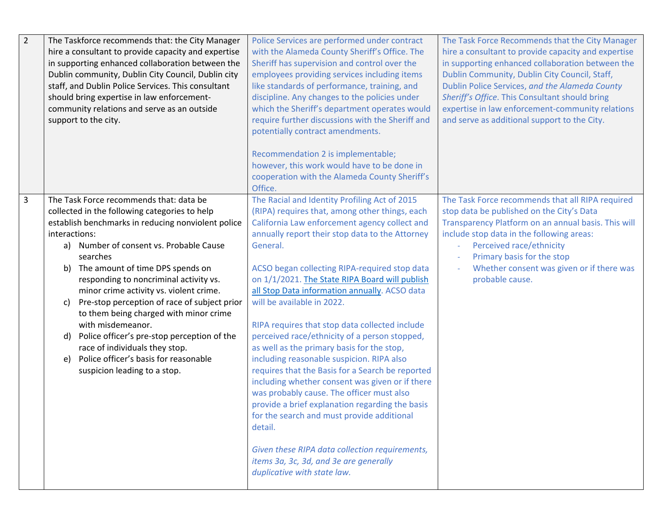| $\overline{2}$ | The Taskforce recommends that: the City Manager<br>hire a consultant to provide capacity and expertise<br>in supporting enhanced collaboration between the<br>Dublin community, Dublin City Council, Dublin city<br>staff, and Dublin Police Services. This consultant<br>should bring expertise in law enforcement-<br>community relations and serve as an outside<br>support to the city.                                                                                                                                                                                                                                                      | Police Services are performed under contract<br>with the Alameda County Sheriff's Office. The<br>Sheriff has supervision and control over the<br>employees providing services including items<br>like standards of performance, training, and<br>discipline. Any changes to the policies under<br>which the Sheriff's department operates would<br>require further discussions with the Sheriff and<br>potentially contract amendments.<br>Recommendation 2 is implementable;<br>however, this work would have to be done in<br>cooperation with the Alameda County Sheriff's<br>Office.                                                                                                                                                                                                                                                                                                                                                                                                   | The Task Force Recommends that the City Manager<br>hire a consultant to provide capacity and expertise<br>in supporting enhanced collaboration between the<br>Dublin Community, Dublin City Council, Staff,<br>Dublin Police Services, and the Alameda County<br>Sheriff's Office. This Consultant should bring<br>expertise in law enforcement-community relations<br>and serve as additional support to the City. |
|----------------|--------------------------------------------------------------------------------------------------------------------------------------------------------------------------------------------------------------------------------------------------------------------------------------------------------------------------------------------------------------------------------------------------------------------------------------------------------------------------------------------------------------------------------------------------------------------------------------------------------------------------------------------------|--------------------------------------------------------------------------------------------------------------------------------------------------------------------------------------------------------------------------------------------------------------------------------------------------------------------------------------------------------------------------------------------------------------------------------------------------------------------------------------------------------------------------------------------------------------------------------------------------------------------------------------------------------------------------------------------------------------------------------------------------------------------------------------------------------------------------------------------------------------------------------------------------------------------------------------------------------------------------------------------|---------------------------------------------------------------------------------------------------------------------------------------------------------------------------------------------------------------------------------------------------------------------------------------------------------------------------------------------------------------------------------------------------------------------|
| 3              | The Task Force recommends that: data be<br>collected in the following categories to help<br>establish benchmarks in reducing nonviolent police<br>interactions:<br>a) Number of consent vs. Probable Cause<br>searches<br>The amount of time DPS spends on<br>b)<br>responding to noncriminal activity vs.<br>minor crime activity vs. violent crime.<br>Pre-stop perception of race of subject prior<br>c)<br>to them being charged with minor crime<br>with misdemeanor.<br>Police officer's pre-stop perception of the<br>d)<br>race of individuals they stop.<br>Police officer's basis for reasonable<br>e)<br>suspicion leading to a stop. | The Racial and Identity Profiling Act of 2015<br>(RIPA) requires that, among other things, each<br>California Law enforcement agency collect and<br>annually report their stop data to the Attorney<br>General.<br>ACSO began collecting RIPA-required stop data<br>on 1/1/2021. The State RIPA Board will publish<br>all Stop Data information annually. ACSO data<br>will be available in 2022.<br>RIPA requires that stop data collected include<br>perceived race/ethnicity of a person stopped,<br>as well as the primary basis for the stop,<br>including reasonable suspicion. RIPA also<br>requires that the Basis for a Search be reported<br>including whether consent was given or if there<br>was probably cause. The officer must also<br>provide a brief explanation regarding the basis<br>for the search and must provide additional<br>detail.<br>Given these RIPA data collection requirements,<br>items 3a, 3c, 3d, and 3e are generally<br>duplicative with state law. | The Task Force recommends that all RIPA required<br>stop data be published on the City's Data<br>Transparency Platform on an annual basis. This will<br>include stop data in the following areas:<br>Perceived race/ethnicity<br>Primary basis for the stop<br>Whether consent was given or if there was<br>probable cause.                                                                                         |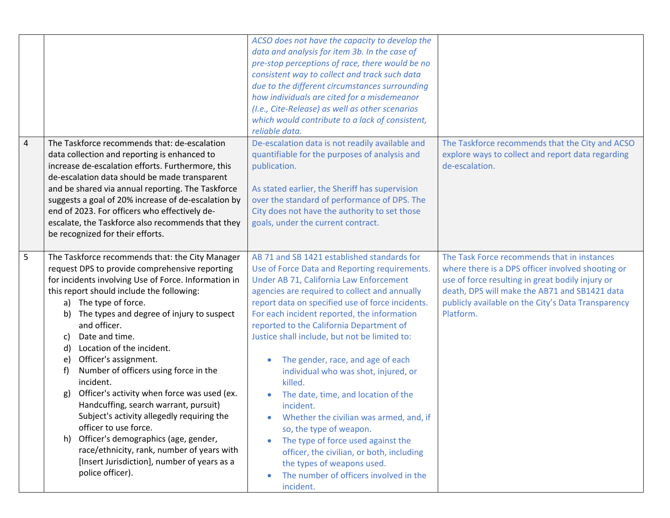|                |                                                                                                                                                                                                                                                                                                                                                                                                                                                                                                                                                                                                                                                                                                                                                                                               | ACSO does not have the capacity to develop the<br>data and analysis for item 3b. In the case of<br>pre-stop perceptions of race, there would be no<br>consistent way to collect and track such data<br>due to the different circumstances surrounding<br>how individuals are cited for a misdemeanor<br>(I.e., Cite-Release) as well as other scenarios<br>which would contribute to a lack of consistent,<br>reliable data.                                                                                                                                                                                                                                                                                                                                                                    |                                                                                                                                                                                                                                                                          |
|----------------|-----------------------------------------------------------------------------------------------------------------------------------------------------------------------------------------------------------------------------------------------------------------------------------------------------------------------------------------------------------------------------------------------------------------------------------------------------------------------------------------------------------------------------------------------------------------------------------------------------------------------------------------------------------------------------------------------------------------------------------------------------------------------------------------------|-------------------------------------------------------------------------------------------------------------------------------------------------------------------------------------------------------------------------------------------------------------------------------------------------------------------------------------------------------------------------------------------------------------------------------------------------------------------------------------------------------------------------------------------------------------------------------------------------------------------------------------------------------------------------------------------------------------------------------------------------------------------------------------------------|--------------------------------------------------------------------------------------------------------------------------------------------------------------------------------------------------------------------------------------------------------------------------|
| $\overline{4}$ | The Taskforce recommends that: de-escalation<br>data collection and reporting is enhanced to<br>increase de-escalation efforts. Furthermore, this<br>de-escalation data should be made transparent<br>and be shared via annual reporting. The Taskforce<br>suggests a goal of 20% increase of de-escalation by<br>end of 2023. For officers who effectively de-<br>escalate, the Taskforce also recommends that they<br>be recognized for their efforts.                                                                                                                                                                                                                                                                                                                                      | De-escalation data is not readily available and<br>quantifiable for the purposes of analysis and<br>publication.<br>As stated earlier, the Sheriff has supervision<br>over the standard of performance of DPS. The<br>City does not have the authority to set those<br>goals, under the current contract.                                                                                                                                                                                                                                                                                                                                                                                                                                                                                       | The Taskforce recommends that the City and ACSO<br>explore ways to collect and report data regarding<br>de-escalation.                                                                                                                                                   |
| 5 <sup>1</sup> | The Taskforce recommends that: the City Manager<br>request DPS to provide comprehensive reporting<br>for incidents involving Use of Force. Information in<br>this report should include the following:<br>a) The type of force.<br>b) The types and degree of injury to suspect<br>and officer.<br>Date and time.<br>C)<br>Location of the incident.<br>d)<br>Officer's assignment.<br>e)<br>Number of officers using force in the<br>$\ddot{}$<br>incident.<br>Officer's activity when force was used (ex.<br>g)<br>Handcuffing, search warrant, pursuit)<br>Subject's activity allegedly requiring the<br>officer to use force.<br>h) Officer's demographics (age, gender,<br>race/ethnicity, rank, number of years with<br>[Insert Jurisdiction], number of years as a<br>police officer). | AB 71 and SB 1421 established standards for<br>Use of Force Data and Reporting requirements.<br>Under AB 71, California Law Enforcement<br>agencies are required to collect and annually<br>report data on specified use of force incidents.<br>For each incident reported, the information<br>reported to the California Department of<br>Justice shall include, but not be limited to:<br>The gender, race, and age of each<br>individual who was shot, injured, or<br>killed.<br>The date, time, and location of the<br>incident.<br>Whether the civilian was armed, and, if<br>$\bullet$<br>so, the type of weapon.<br>The type of force used against the<br>officer, the civilian, or both, including<br>the types of weapons used.<br>The number of officers involved in the<br>incident. | The Task Force recommends that in instances<br>where there is a DPS officer involved shooting or<br>use of force resulting in great bodily injury or<br>death, DPS will make the AB71 and SB1421 data<br>publicly available on the City's Data Transparency<br>Platform. |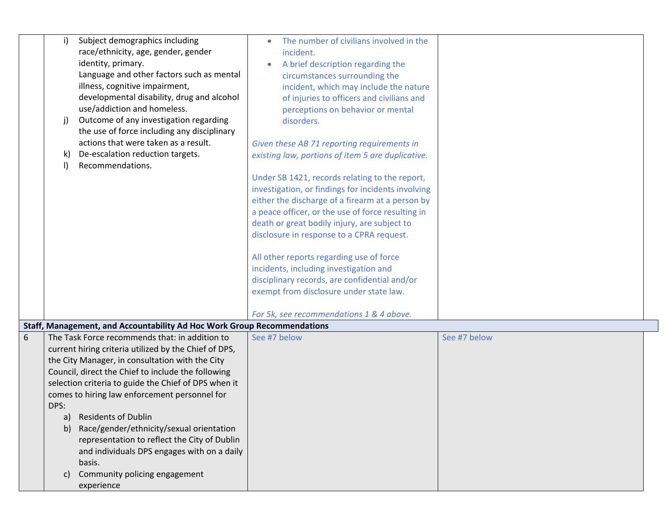| Subject demographics including<br>i)<br>race/ethnicity, age, gender, gender<br>identity, primary.<br>Language and other factors such as mental<br>illness, cognitive impairment,<br>developmental disability, drug and alcohol<br>use/addiction and homeless.<br>Outcome of any investigation regarding<br>j)<br>the use of force including any disciplinary<br>actions that were taken as a result.<br>De-escalation reduction targets.<br>k)<br>Recommendations.<br>$\mathbf{I}$                                                                                                                   | The number of civilians involved in the<br>incident.<br>A brief description regarding the<br>circumstances surrounding the<br>incident, which may include the nature<br>of injuries to officers and civilians and<br>perceptions on behavior or mental<br>disorders.<br>Given these AB 71 reporting requirements in<br>existing law, portions of item 5 are duplicative.<br>Under SB 1421, records relating to the report,<br>investigation, or findings for incidents involving<br>either the discharge of a firearm at a person by<br>a peace officer, or the use of force resulting in<br>death or great bodily injury, are subject to<br>disclosure in response to a CPRA request.<br>All other reports regarding use of force<br>incidents, including investigation and<br>disciplinary records, are confidential and/or<br>exempt from disclosure under state law. |
|------------------------------------------------------------------------------------------------------------------------------------------------------------------------------------------------------------------------------------------------------------------------------------------------------------------------------------------------------------------------------------------------------------------------------------------------------------------------------------------------------------------------------------------------------------------------------------------------------|--------------------------------------------------------------------------------------------------------------------------------------------------------------------------------------------------------------------------------------------------------------------------------------------------------------------------------------------------------------------------------------------------------------------------------------------------------------------------------------------------------------------------------------------------------------------------------------------------------------------------------------------------------------------------------------------------------------------------------------------------------------------------------------------------------------------------------------------------------------------------|
|                                                                                                                                                                                                                                                                                                                                                                                                                                                                                                                                                                                                      | For 5k, see recommendations 1 & 4 above.                                                                                                                                                                                                                                                                                                                                                                                                                                                                                                                                                                                                                                                                                                                                                                                                                                 |
| Staff, Management, and Accountability Ad Hoc Work Group Recommendations                                                                                                                                                                                                                                                                                                                                                                                                                                                                                                                              |                                                                                                                                                                                                                                                                                                                                                                                                                                                                                                                                                                                                                                                                                                                                                                                                                                                                          |
| 6<br>The Task Force recommends that: in addition to<br>current hiring criteria utilized by the Chief of DPS,<br>the City Manager, in consultation with the City<br>Council, direct the Chief to include the following<br>selection criteria to guide the Chief of DPS when it<br>comes to hiring law enforcement personnel for<br>DPS:<br><b>Residents of Dublin</b><br>a)<br>Race/gender/ethnicity/sexual orientation<br>$\mathbf{b}$<br>representation to reflect the City of Dublin<br>and individuals DPS engages with on a daily<br>basis.<br>Community policing engagement<br>C)<br>experience | See #7 below<br>See #7 below                                                                                                                                                                                                                                                                                                                                                                                                                                                                                                                                                                                                                                                                                                                                                                                                                                             |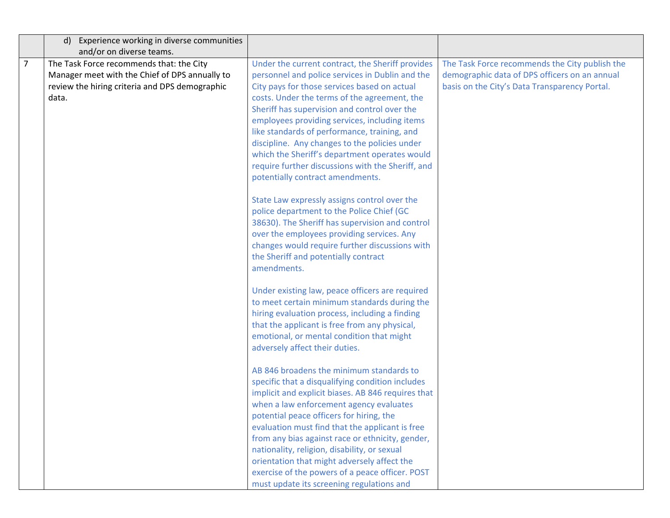|                | d) Experience working in diverse communities   |                                                    |                                                |
|----------------|------------------------------------------------|----------------------------------------------------|------------------------------------------------|
|                | and/or on diverse teams.                       |                                                    |                                                |
| $\overline{7}$ | The Task Force recommends that: the City       | Under the current contract, the Sheriff provides   | The Task Force recommends the City publish the |
|                | Manager meet with the Chief of DPS annually to | personnel and police services in Dublin and the    | demographic data of DPS officers on an annual  |
|                | review the hiring criteria and DPS demographic | City pays for those services based on actual       | basis on the City's Data Transparency Portal.  |
|                | data.                                          | costs. Under the terms of the agreement, the       |                                                |
|                |                                                | Sheriff has supervision and control over the       |                                                |
|                |                                                | employees providing services, including items      |                                                |
|                |                                                | like standards of performance, training, and       |                                                |
|                |                                                | discipline. Any changes to the policies under      |                                                |
|                |                                                | which the Sheriff's department operates would      |                                                |
|                |                                                | require further discussions with the Sheriff, and  |                                                |
|                |                                                | potentially contract amendments.                   |                                                |
|                |                                                | State Law expressly assigns control over the       |                                                |
|                |                                                | police department to the Police Chief (GC          |                                                |
|                |                                                | 38630). The Sheriff has supervision and control    |                                                |
|                |                                                | over the employees providing services. Any         |                                                |
|                |                                                | changes would require further discussions with     |                                                |
|                |                                                | the Sheriff and potentially contract               |                                                |
|                |                                                | amendments.                                        |                                                |
|                |                                                |                                                    |                                                |
|                |                                                | Under existing law, peace officers are required    |                                                |
|                |                                                | to meet certain minimum standards during the       |                                                |
|                |                                                | hiring evaluation process, including a finding     |                                                |
|                |                                                | that the applicant is free from any physical,      |                                                |
|                |                                                | emotional, or mental condition that might          |                                                |
|                |                                                | adversely affect their duties.                     |                                                |
|                |                                                | AB 846 broadens the minimum standards to           |                                                |
|                |                                                | specific that a disqualifying condition includes   |                                                |
|                |                                                | implicit and explicit biases. AB 846 requires that |                                                |
|                |                                                | when a law enforcement agency evaluates            |                                                |
|                |                                                | potential peace officers for hiring, the           |                                                |
|                |                                                | evaluation must find that the applicant is free    |                                                |
|                |                                                | from any bias against race or ethnicity, gender,   |                                                |
|                |                                                | nationality, religion, disability, or sexual       |                                                |
|                |                                                | orientation that might adversely affect the        |                                                |
|                |                                                | exercise of the powers of a peace officer. POST    |                                                |
|                |                                                | must update its screening regulations and          |                                                |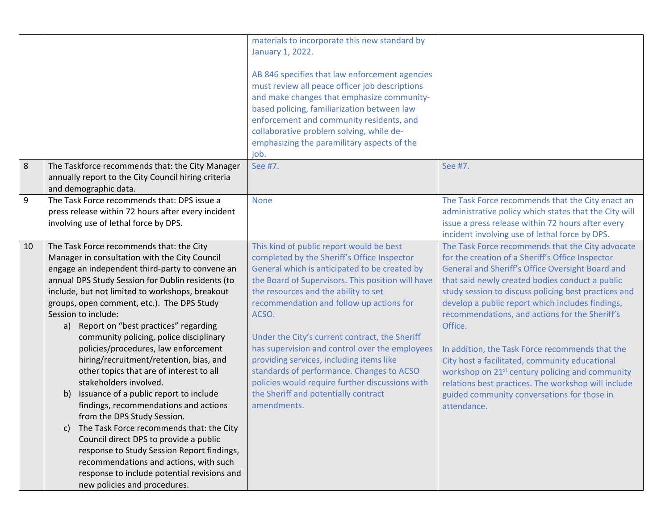|         |                                                                                                                                                                                                                                                                                                                                                                                                                                                                                                                                                                                                                                                                                                                                                                                                                                                                                                                                                                     | materials to incorporate this new standard by<br>January 1, 2022.<br>AB 846 specifies that law enforcement agencies<br>must review all peace officer job descriptions<br>and make changes that emphasize community-<br>based policing, familiarization between law<br>enforcement and community residents, and<br>collaborative problem solving, while de-<br>emphasizing the paramilitary aspects of the<br>job.                                                                                                                                                                                 |                                                                                                                                                                                                                                                                                                                                                                                                                                                                                                                                                                                                                                                                               |
|---------|---------------------------------------------------------------------------------------------------------------------------------------------------------------------------------------------------------------------------------------------------------------------------------------------------------------------------------------------------------------------------------------------------------------------------------------------------------------------------------------------------------------------------------------------------------------------------------------------------------------------------------------------------------------------------------------------------------------------------------------------------------------------------------------------------------------------------------------------------------------------------------------------------------------------------------------------------------------------|---------------------------------------------------------------------------------------------------------------------------------------------------------------------------------------------------------------------------------------------------------------------------------------------------------------------------------------------------------------------------------------------------------------------------------------------------------------------------------------------------------------------------------------------------------------------------------------------------|-------------------------------------------------------------------------------------------------------------------------------------------------------------------------------------------------------------------------------------------------------------------------------------------------------------------------------------------------------------------------------------------------------------------------------------------------------------------------------------------------------------------------------------------------------------------------------------------------------------------------------------------------------------------------------|
| $\,8\,$ | The Taskforce recommends that: the City Manager<br>annually report to the City Council hiring criteria<br>and demographic data.                                                                                                                                                                                                                                                                                                                                                                                                                                                                                                                                                                                                                                                                                                                                                                                                                                     | See #7.                                                                                                                                                                                                                                                                                                                                                                                                                                                                                                                                                                                           | See #7.                                                                                                                                                                                                                                                                                                                                                                                                                                                                                                                                                                                                                                                                       |
| 9       | The Task Force recommends that: DPS issue a<br>press release within 72 hours after every incident<br>involving use of lethal force by DPS.                                                                                                                                                                                                                                                                                                                                                                                                                                                                                                                                                                                                                                                                                                                                                                                                                          | <b>None</b>                                                                                                                                                                                                                                                                                                                                                                                                                                                                                                                                                                                       | The Task Force recommends that the City enact an<br>administrative policy which states that the City will<br>issue a press release within 72 hours after every<br>incident involving use of lethal force by DPS.                                                                                                                                                                                                                                                                                                                                                                                                                                                              |
| 10      | The Task Force recommends that: the City<br>Manager in consultation with the City Council<br>engage an independent third-party to convene an<br>annual DPS Study Session for Dublin residents (to<br>include, but not limited to workshops, breakout<br>groups, open comment, etc.). The DPS Study<br>Session to include:<br>a) Report on "best practices" regarding<br>community policing, police disciplinary<br>policies/procedures, law enforcement<br>hiring/recruitment/retention, bias, and<br>other topics that are of interest to all<br>stakeholders involved.<br>Issuance of a public report to include<br>b)<br>findings, recommendations and actions<br>from the DPS Study Session.<br>The Task Force recommends that: the City<br>C)<br>Council direct DPS to provide a public<br>response to Study Session Report findings,<br>recommendations and actions, with such<br>response to include potential revisions and<br>new policies and procedures. | This kind of public report would be best<br>completed by the Sheriff's Office Inspector<br>General which is anticipated to be created by<br>the Board of Supervisors. This position will have<br>the resources and the ability to set<br>recommendation and follow up actions for<br>ACSO.<br>Under the City's current contract, the Sheriff<br>has supervision and control over the employees<br>providing services, including items like<br>standards of performance. Changes to ACSO<br>policies would require further discussions with<br>the Sheriff and potentially contract<br>amendments. | The Task Force recommends that the City advocate<br>for the creation of a Sheriff's Office Inspector<br>General and Sheriff's Office Oversight Board and<br>that said newly created bodies conduct a public<br>study session to discuss policing best practices and<br>develop a public report which includes findings,<br>recommendations, and actions for the Sheriff's<br>Office.<br>In addition, the Task Force recommends that the<br>City host a facilitated, community educational<br>workshop on 21 <sup>st</sup> century policing and community<br>relations best practices. The workshop will include<br>guided community conversations for those in<br>attendance. |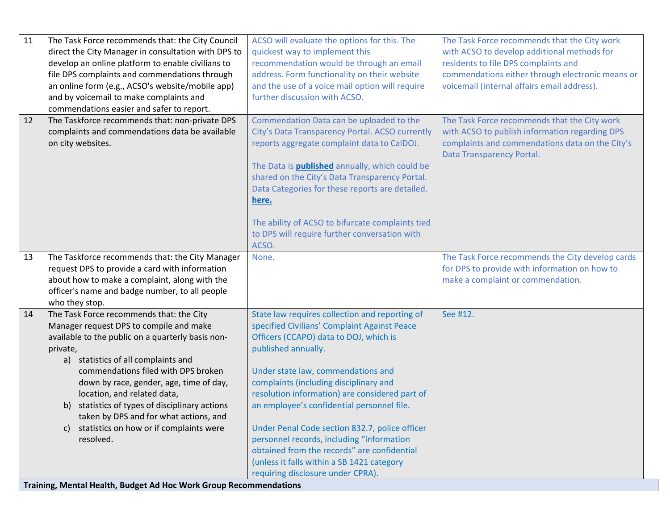| 11 | The Task Force recommends that: the City Council                  | ACSO will evaluate the options for this. The          | The Task Force recommends that the City work     |
|----|-------------------------------------------------------------------|-------------------------------------------------------|--------------------------------------------------|
|    | direct the City Manager in consultation with DPS to               | quickest way to implement this                        | with ACSO to develop additional methods for      |
|    | develop an online platform to enable civilians to                 | recommendation would be through an email              | residents to file DPS complaints and             |
|    | file DPS complaints and commendations through                     | address. Form functionality on their website          | commendations either through electronic means or |
|    | an online form (e.g., ACSO's website/mobile app)                  | and the use of a voice mail option will require       | voicemail (internal affairs email address).      |
|    | and by voicemail to make complaints and                           | further discussion with ACSO.                         |                                                  |
|    | commendations easier and safer to report.                         |                                                       |                                                  |
| 12 | The Taskforce recommends that: non-private DPS                    | Commendation Data can be uploaded to the              | The Task Force recommends that the City work     |
|    | complaints and commendations data be available                    | City's Data Transparency Portal. ACSO currently       | with ACSO to publish information regarding DPS   |
|    | on city websites.                                                 | reports aggregate complaint data to CalDOJ.           | complaints and commendations data on the City's  |
|    |                                                                   |                                                       | Data Transparency Portal.                        |
|    |                                                                   | The Data is <b>published</b> annually, which could be |                                                  |
|    |                                                                   | shared on the City's Data Transparency Portal.        |                                                  |
|    |                                                                   | Data Categories for these reports are detailed.       |                                                  |
|    |                                                                   | here.                                                 |                                                  |
|    |                                                                   |                                                       |                                                  |
|    |                                                                   | The ability of ACSO to bifurcate complaints tied      |                                                  |
|    |                                                                   | to DPS will require further conversation with         |                                                  |
|    |                                                                   | ACSO.                                                 |                                                  |
| 13 | The Taskforce recommends that: the City Manager                   | None.                                                 | The Task Force recommends the City develop cards |
|    | request DPS to provide a card with information                    |                                                       | for DPS to provide with information on how to    |
|    | about how to make a complaint, along with the                     |                                                       | make a complaint or commendation.                |
|    | officer's name and badge number, to all people                    |                                                       |                                                  |
|    | who they stop.                                                    |                                                       |                                                  |
| 14 | The Task Force recommends that: the City                          | State law requires collection and reporting of        | See #12.                                         |
|    | Manager request DPS to compile and make                           | specified Civilians' Complaint Against Peace          |                                                  |
|    | available to the public on a quarterly basis non-                 | Officers (CCAPO) data to DOJ, which is                |                                                  |
|    | private,                                                          | published annually.                                   |                                                  |
|    | a) statistics of all complaints and                               |                                                       |                                                  |
|    | commendations filed with DPS broken                               | Under state law, commendations and                    |                                                  |
|    | down by race, gender, age, time of day,                           | complaints (including disciplinary and                |                                                  |
|    | location, and related data,                                       | resolution information) are considered part of        |                                                  |
|    | statistics of types of disciplinary actions<br>b)                 | an employee's confidential personnel file.            |                                                  |
|    | taken by DPS and for what actions, and                            |                                                       |                                                  |
|    | statistics on how or if complaints were<br>C)                     | Under Penal Code section 832.7, police officer        |                                                  |
|    | resolved.                                                         | personnel records, including "information             |                                                  |
|    |                                                                   | obtained from the records" are confidential           |                                                  |
|    |                                                                   | (unless it falls within a SB 1421 category            |                                                  |
|    |                                                                   | requiring disclosure under CPRA).                     |                                                  |
|    | Training, Mental Health, Budget Ad Hoc Work Group Recommendations |                                                       |                                                  |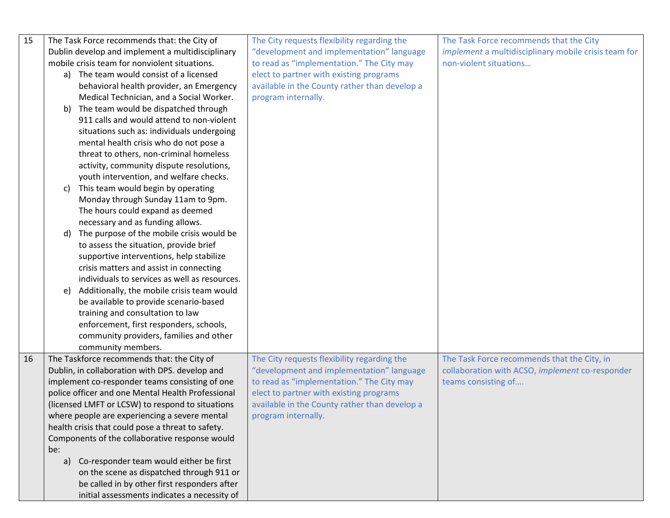| 15 | The Task Force recommends that: the City of       | The City requests flexibility regarding the   | The Task Force recommends that the City              |
|----|---------------------------------------------------|-----------------------------------------------|------------------------------------------------------|
|    | Dublin develop and implement a multidisciplinary  | "development and implementation" language     | implement a multidisciplinary mobile crisis team for |
|    | mobile crisis team for nonviolent situations.     | to read as "implementation." The City may     | non-violent situations                               |
|    |                                                   |                                               |                                                      |
|    | a) The team would consist of a licensed           | elect to partner with existing programs       |                                                      |
|    | behavioral health provider, an Emergency          | available in the County rather than develop a |                                                      |
|    | Medical Technician, and a Social Worker.          | program internally.                           |                                                      |
|    | The team would be dispatched through<br>b)        |                                               |                                                      |
|    | 911 calls and would attend to non-violent         |                                               |                                                      |
|    | situations such as: individuals undergoing        |                                               |                                                      |
|    | mental health crisis who do not pose a            |                                               |                                                      |
|    | threat to others, non-criminal homeless           |                                               |                                                      |
|    | activity, community dispute resolutions,          |                                               |                                                      |
|    | youth intervention, and welfare checks.           |                                               |                                                      |
|    | This team would begin by operating<br>c)          |                                               |                                                      |
|    | Monday through Sunday 11am to 9pm.                |                                               |                                                      |
|    | The hours could expand as deemed                  |                                               |                                                      |
|    | necessary and as funding allows.                  |                                               |                                                      |
|    | The purpose of the mobile crisis would be<br>d)   |                                               |                                                      |
|    | to assess the situation, provide brief            |                                               |                                                      |
|    | supportive interventions, help stabilize          |                                               |                                                      |
|    | crisis matters and assist in connecting           |                                               |                                                      |
|    | individuals to services as well as resources.     |                                               |                                                      |
|    | Additionally, the mobile crisis team would<br>e)  |                                               |                                                      |
|    | be available to provide scenario-based            |                                               |                                                      |
|    | training and consultation to law                  |                                               |                                                      |
|    | enforcement, first responders, schools,           |                                               |                                                      |
|    | community providers, families and other           |                                               |                                                      |
|    | community members.                                |                                               |                                                      |
| 16 | The Taskforce recommends that: the City of        | The City requests flexibility regarding the   | The Task Force recommends that the City, in          |
|    | Dublin, in collaboration with DPS. develop and    | "development and implementation" language     | collaboration with ACSO, implement co-responder      |
|    |                                                   | to read as "implementation." The City may     |                                                      |
|    | implement co-responder teams consisting of one    |                                               | teams consisting of                                  |
|    | police officer and one Mental Health Professional | elect to partner with existing programs       |                                                      |
|    | (licensed LMFT or LCSW) to respond to situations  | available in the County rather than develop a |                                                      |
|    | where people are experiencing a severe mental     | program internally.                           |                                                      |
|    | health crisis that could pose a threat to safety. |                                               |                                                      |
|    | Components of the collaborative response would    |                                               |                                                      |
|    | be:                                               |                                               |                                                      |
|    | a) Co-responder team would either be first        |                                               |                                                      |
|    | on the scene as dispatched through 911 or         |                                               |                                                      |
|    | be called in by other first responders after      |                                               |                                                      |
|    | initial assessments indicates a necessity of      |                                               |                                                      |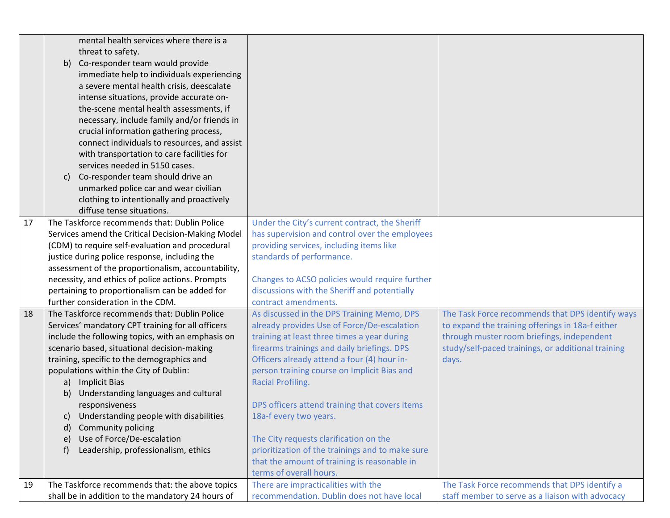|    | mental health services where there is a            |                                                  |                                                    |
|----|----------------------------------------------------|--------------------------------------------------|----------------------------------------------------|
|    | threat to safety.                                  |                                                  |                                                    |
|    | b) Co-responder team would provide                 |                                                  |                                                    |
|    | immediate help to individuals experiencing         |                                                  |                                                    |
|    | a severe mental health crisis, deescalate          |                                                  |                                                    |
|    | intense situations, provide accurate on-           |                                                  |                                                    |
|    | the-scene mental health assessments, if            |                                                  |                                                    |
|    | necessary, include family and/or friends in        |                                                  |                                                    |
|    | crucial information gathering process,             |                                                  |                                                    |
|    | connect individuals to resources, and assist       |                                                  |                                                    |
|    | with transportation to care facilities for         |                                                  |                                                    |
|    | services needed in 5150 cases.                     |                                                  |                                                    |
|    | Co-responder team should drive an<br>C)            |                                                  |                                                    |
|    | unmarked police car and wear civilian              |                                                  |                                                    |
|    | clothing to intentionally and proactively          |                                                  |                                                    |
|    | diffuse tense situations.                          |                                                  |                                                    |
| 17 | The Taskforce recommends that: Dublin Police       | Under the City's current contract, the Sheriff   |                                                    |
|    | Services amend the Critical Decision-Making Model  | has supervision and control over the employees   |                                                    |
|    | (CDM) to require self-evaluation and procedural    | providing services, including items like         |                                                    |
|    | justice during police response, including the      | standards of performance.                        |                                                    |
|    | assessment of the proportionalism, accountability, |                                                  |                                                    |
|    | necessity, and ethics of police actions. Prompts   | Changes to ACSO policies would require further   |                                                    |
|    | pertaining to proportionalism can be added for     | discussions with the Sheriff and potentially     |                                                    |
|    | further consideration in the CDM.                  | contract amendments.                             |                                                    |
| 18 | The Taskforce recommends that: Dublin Police       | As discussed in the DPS Training Memo, DPS       | The Task Force recommends that DPS identify ways   |
|    | Services' mandatory CPT training for all officers  | already provides Use of Force/De-escalation      | to expand the training offerings in 18a-f either   |
|    | include the following topics, with an emphasis on  | training at least three times a year during      | through muster room briefings, independent         |
|    | scenario based, situational decision-making        | firearms trainings and daily briefings. DPS      | study/self-paced trainings, or additional training |
|    | training, specific to the demographics and         | Officers already attend a four (4) hour in-      | days.                                              |
|    | populations within the City of Dublin:             | person training course on Implicit Bias and      |                                                    |
|    | a) Implicit Bias                                   | <b>Racial Profiling.</b>                         |                                                    |
|    | Understanding languages and cultural<br>b)         |                                                  |                                                    |
|    | responsiveness                                     | DPS officers attend training that covers items   |                                                    |
|    | Understanding people with disabilities<br>C)       | 18a-f every two years.                           |                                                    |
|    | Community policing<br>d)                           |                                                  |                                                    |
|    | Use of Force/De-escalation<br>e)                   | The City requests clarification on the           |                                                    |
|    | Leadership, professionalism, ethics<br>f)          | prioritization of the trainings and to make sure |                                                    |
|    |                                                    | that the amount of training is reasonable in     |                                                    |
|    |                                                    | terms of overall hours.                          |                                                    |
| 19 | The Taskforce recommends that: the above topics    | There are impracticalities with the              | The Task Force recommends that DPS identify a      |
|    | shall be in addition to the mandatory 24 hours of  | recommendation. Dublin does not have local       | staff member to serve as a liaison with advocacy   |